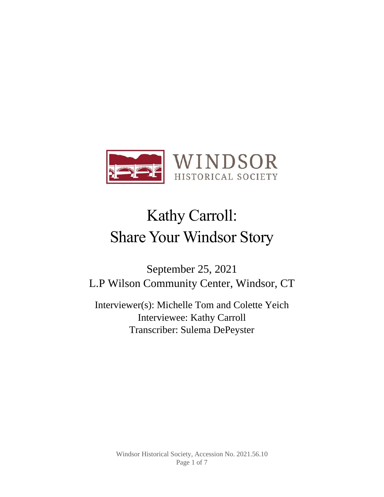

# Kathy Carroll: Share Your Windsor Story

September 25, 2021 L.P Wilson Community Center, Windsor, CT

Interviewer(s): Michelle Tom and Colette Yeich Interviewee: Kathy Carroll Transcriber: Sulema DePeyster

> Windsor Historical Society, Accession No. 2021.56.10 Page 1 of 7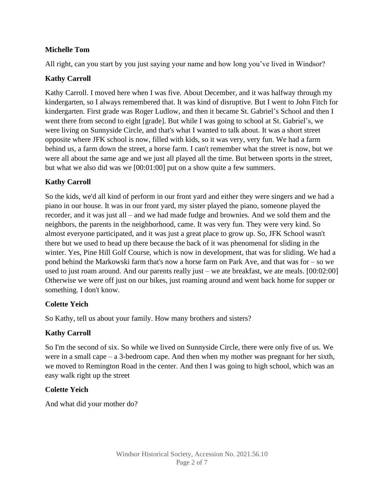## **Michelle Tom**

All right, can you start by you just saying your name and how long you've lived in Windsor?

# **Kathy Carroll**

Kathy Carroll. I moved here when I was five. About December, and it was halfway through my kindergarten, so I always remembered that. It was kind of disruptive. But I went to John Fitch for kindergarten. First grade was Roger Ludlow, and then it became St. Gabriel's School and then I went there from second to eight [grade]. But while I was going to school at St. Gabriel's, we were living on Sunnyside Circle, and that's what I wanted to talk about. It was a short street opposite where JFK school is now, filled with kids, so it was very, very fun. We had a farm behind us, a farm down the street, a horse farm. I can't remember what the street is now, but we were all about the same age and we just all played all the time. But between sports in the street, but what we also did was we [00:01:00] put on a show quite a few summers.

# **Kathy Carroll**

So the kids, we'd all kind of perform in our front yard and either they were singers and we had a piano in our house. It was in our front yard, my sister played the piano, someone played the recorder, and it was just all – and we had made fudge and brownies. And we sold them and the neighbors, the parents in the neighborhood, came. It was very fun. They were very kind. So almost everyone participated, and it was just a great place to grow up. So, JFK School wasn't there but we used to head up there because the back of it was phenomenal for sliding in the winter. Yes, Pine Hill Golf Course, which is now in development, that was for sliding. We had a pond behind the Markowski farm that's now a horse farm on Park Ave, and that was for – so we used to just roam around. And our parents really just – we ate breakfast, we ate meals. [00:02:00] Otherwise we were off just on our bikes, just roaming around and went back home for supper or something. I don't know.

## **Colette Yeich**

So Kathy, tell us about your family. How many brothers and sisters?

## **Kathy Carroll**

So I'm the second of six. So while we lived on Sunnyside Circle, there were only five of us. We were in a small cape – a 3-bedroom cape. And then when my mother was pregnant for her sixth, we moved to Remington Road in the center. And then I was going to high school, which was an easy walk right up the street

## **Colette Yeich**

And what did your mother do?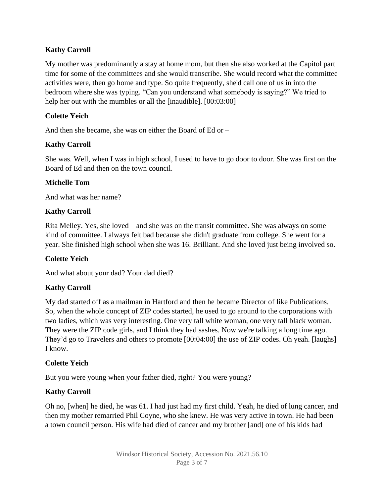# **Kathy Carroll**

My mother was predominantly a stay at home mom, but then she also worked at the Capitol part time for some of the committees and she would transcribe. She would record what the committee activities were, then go home and type. So quite frequently, she'd call one of us in into the bedroom where she was typing. "Can you understand what somebody is saying?" We tried to help her out with the mumbles or all the [inaudible]. [00:03:00]

# **Colette Yeich**

And then she became, she was on either the Board of Ed or –

# **Kathy Carroll**

She was. Well, when I was in high school, I used to have to go door to door. She was first on the Board of Ed and then on the town council.

# **Michelle Tom**

And what was her name?

# **Kathy Carroll**

Rita Melley. Yes, she loved – and she was on the transit committee. She was always on some kind of committee. I always felt bad because she didn't graduate from college. She went for a year. She finished high school when she was 16. Brilliant. And she loved just being involved so.

## **Colette Yeich**

And what about your dad? Your dad died?

## **Kathy Carroll**

My dad started off as a mailman in Hartford and then he became Director of like Publications. So, when the whole concept of ZIP codes started, he used to go around to the corporations with two ladies, which was very interesting. One very tall white woman, one very tall black woman. They were the ZIP code girls, and I think they had sashes. Now we're talking a long time ago. They'd go to Travelers and others to promote [00:04:00] the use of ZIP codes. Oh yeah. [laughs] I know.

## **Colette Yeich**

But you were young when your father died, right? You were young?

# **Kathy Carroll**

Oh no, [when] he died, he was 61. I had just had my first child. Yeah, he died of lung cancer, and then my mother remarried Phil Coyne, who she knew. He was very active in town. He had been a town council person. His wife had died of cancer and my brother [and] one of his kids had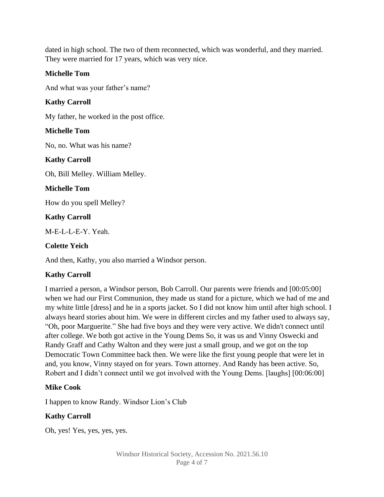dated in high school. The two of them reconnected, which was wonderful, and they married. They were married for 17 years, which was very nice.

## **Michelle Tom**

And what was your father's name?

# **Kathy Carroll**

My father, he worked in the post office.

# **Michelle Tom**

No, no. What was his name?

## **Kathy Carroll**

Oh, Bill Melley. William Melley.

## **Michelle Tom**

How do you spell Melley?

## **Kathy Carroll**

M-E-L-L-E-Y. Yeah.

## **Colette Yeich**

And then, Kathy, you also married a Windsor person.

# **Kathy Carroll**

I married a person, a Windsor person, Bob Carroll. Our parents were friends and [00:05:00] when we had our First Communion, they made us stand for a picture, which we had of me and my white little [dress] and he in a sports jacket. So I did not know him until after high school. I always heard stories about him. We were in different circles and my father used to always say, "Oh, poor Marguerite." She had five boys and they were very active. We didn't connect until after college. We both got active in the Young Dems So, it was us and Vinny Oswecki and Randy Graff and Cathy Walton and they were just a small group, and we got on the top Democratic Town Committee back then. We were like the first young people that were let in and, you know, Vinny stayed on for years. Town attorney. And Randy has been active. So, Robert and I didn't connect until we got involved with the Young Dems. [laughs] [00:06:00]

## **Mike Cook**

I happen to know Randy. Windsor Lion's Club

## **Kathy Carroll**

Oh, yes! Yes, yes, yes, yes.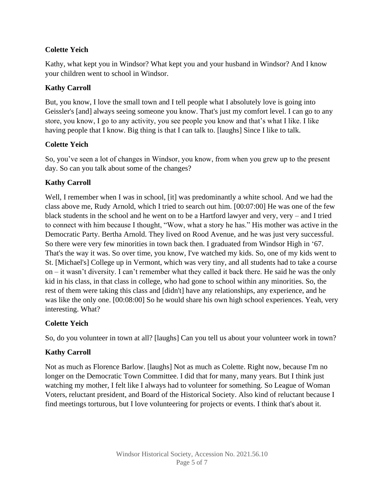# **Colette Yeich**

Kathy, what kept you in Windsor? What kept you and your husband in Windsor? And I know your children went to school in Windsor.

# **Kathy Carroll**

But, you know, I love the small town and I tell people what I absolutely love is going into Geissler's [and] always seeing someone you know. That's just my comfort level. I can go to any store, you know, I go to any activity, you see people you know and that's what I like. I like having people that I know. Big thing is that I can talk to. [laughs] Since I like to talk.

# **Colette Yeich**

So, you've seen a lot of changes in Windsor, you know, from when you grew up to the present day. So can you talk about some of the changes?

# **Kathy Carroll**

Well, I remember when I was in school, [it] was predominantly a white school. And we had the class above me, Rudy Arnold, which I tried to search out him. [00:07:00] He was one of the few black students in the school and he went on to be a Hartford lawyer and very, very – and I tried to connect with him because I thought, "Wow, what a story he has." His mother was active in the Democratic Party. Bertha Arnold. They lived on Rood Avenue, and he was just very successful. So there were very few minorities in town back then. I graduated from Windsor High in '67. That's the way it was. So over time, you know, I've watched my kids. So, one of my kids went to St. [Michael's] College up in Vermont, which was very tiny, and all students had to take a course on – it wasn't diversity. I can't remember what they called it back there. He said he was the only kid in his class, in that class in college, who had gone to school within any minorities. So, the rest of them were taking this class and [didn't] have any relationships, any experience, and he was like the only one. [00:08:00] So he would share his own high school experiences. Yeah, very interesting. What?

# **Colette Yeich**

So, do you volunteer in town at all? [laughs] Can you tell us about your volunteer work in town?

# **Kathy Carroll**

Not as much as Florence Barlow. [laughs] Not as much as Colette. Right now, because I'm no longer on the Democratic Town Committee. I did that for many, many years. But I think just watching my mother, I felt like I always had to volunteer for something. So League of Woman Voters, reluctant president, and Board of the Historical Society. Also kind of reluctant because I find meetings torturous, but I love volunteering for projects or events. I think that's about it.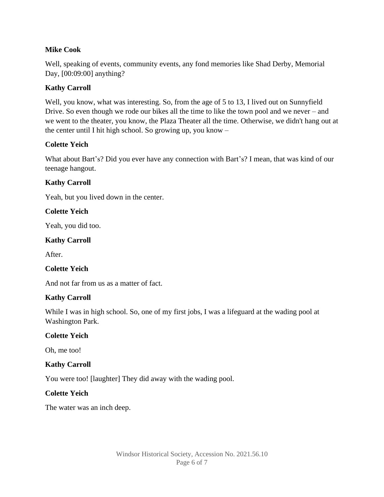## **Mike Cook**

Well, speaking of events, community events, any fond memories like Shad Derby, Memorial Day, [00:09:00] anything?

# **Kathy Carroll**

Well, you know, what was interesting. So, from the age of 5 to 13, I lived out on Sunnyfield Drive. So even though we rode our bikes all the time to like the town pool and we never – and we went to the theater, you know, the Plaza Theater all the time. Otherwise, we didn't hang out at the center until I hit high school. So growing up, you know –

# **Colette Yeich**

What about Bart's? Did you ever have any connection with Bart's? I mean, that was kind of our teenage hangout.

# **Kathy Carroll**

Yeah, but you lived down in the center.

## **Colette Yeich**

Yeah, you did too.

## **Kathy Carroll**

After.

## **Colette Yeich**

And not far from us as a matter of fact.

## **Kathy Carroll**

While I was in high school. So, one of my first jobs, I was a lifeguard at the wading pool at Washington Park.

## **Colette Yeich**

Oh, me too!

## **Kathy Carroll**

You were too! [laughter] They did away with the wading pool.

## **Colette Yeich**

The water was an inch deep.